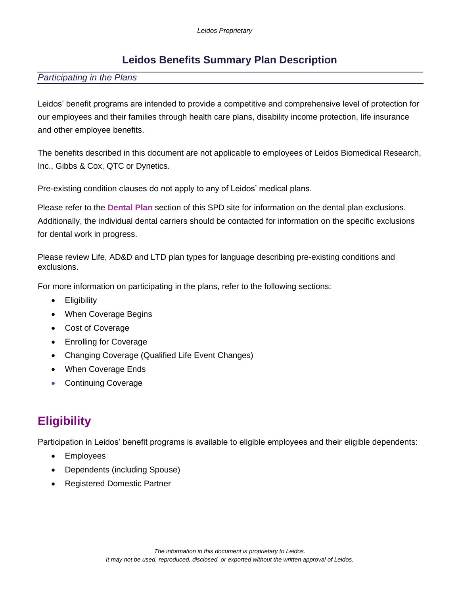### **Leidos Benefits Summary Plan Description**

#### *Participating in the Plans*

Leidos' benefit programs are intended to provide a competitive and comprehensive level of protection for our employees and their families through health care plans, disability income protection, life insurance and other employee benefits.

The benefits described in this document are not applicable to employees of Leidos Biomedical Research, Inc., Gibbs & Cox, QTC or Dynetics.

Pre-existing condition clauses do not apply to any of Leidos' medical plans.

Please refer to the **Dental Plan** section of this SPD site for information on the dental plan exclusions. Additionally, the individual dental carriers should be contacted for information on the specific exclusions for dental work in progress.

Please review Life, AD&D and LTD plan types for language describing pre-existing conditions and exclusions.

For more information on participating in the plans, refer to the following sections:

- Eligibility
- When Coverage Begins
- Cost of Coverage
- Enrolling for Coverage
- Changing Coverage (Qualified Life Event Changes)
- When Coverage Ends
- Continuing Coverage

# **Eligibility**

Participation in Leidos' benefit programs is available to eligible employees and their eligible dependents:

- Employees
- Dependents (including Spouse)
- Registered Domestic Partner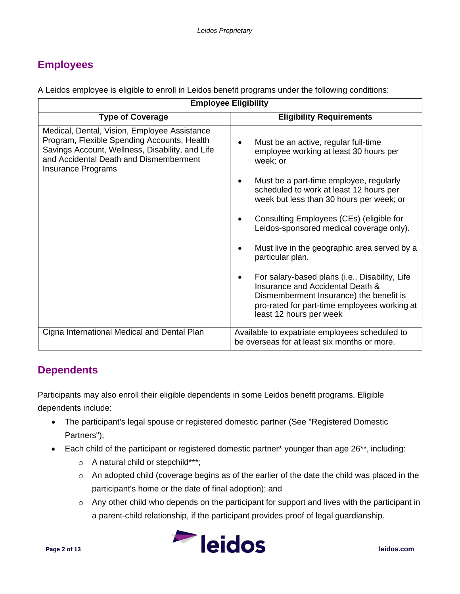## **Employees**

A Leidos employee is eligible to enroll in Leidos benefit programs under the following conditions:

| <b>Employee Eligibility</b>                                                                                                                                                                                           |                                                                                                                                                                                                                                                                                                                                                                                                                                                                                                                                                                           |
|-----------------------------------------------------------------------------------------------------------------------------------------------------------------------------------------------------------------------|---------------------------------------------------------------------------------------------------------------------------------------------------------------------------------------------------------------------------------------------------------------------------------------------------------------------------------------------------------------------------------------------------------------------------------------------------------------------------------------------------------------------------------------------------------------------------|
| <b>Type of Coverage</b>                                                                                                                                                                                               | <b>Eligibility Requirements</b>                                                                                                                                                                                                                                                                                                                                                                                                                                                                                                                                           |
| Medical, Dental, Vision, Employee Assistance<br>Program, Flexible Spending Accounts, Health<br>Savings Account, Wellness, Disability, and Life<br>and Accidental Death and Dismemberment<br><b>Insurance Programs</b> | Must be an active, regular full-time<br>employee working at least 30 hours per<br>week; or<br>Must be a part-time employee, regularly<br>scheduled to work at least 12 hours per<br>week but less than 30 hours per week; or<br>Consulting Employees (CEs) (eligible for<br>Leidos-sponsored medical coverage only).<br>Must live in the geographic area served by a<br>particular plan.<br>For salary-based plans (i.e., Disability, Life<br>Insurance and Accidental Death &<br>Dismemberment Insurance) the benefit is<br>pro-rated for part-time employees working at |
|                                                                                                                                                                                                                       | least 12 hours per week                                                                                                                                                                                                                                                                                                                                                                                                                                                                                                                                                   |
| Cigna International Medical and Dental Plan                                                                                                                                                                           | Available to expatriate employees scheduled to<br>be overseas for at least six months or more.                                                                                                                                                                                                                                                                                                                                                                                                                                                                            |

## **Dependents**

Participants may also enroll their eligible dependents in some Leidos benefit programs. Eligible dependents include:

- The participant's legal spouse or registered domestic partner (See "Registered Domestic Partners");
- Each child of the participant or registered domestic partner\* younger than age 26\*\*, including:
	- o A natural child or stepchild\*\*\*;
	- o An adopted child (coverage begins as of the earlier of the date the child was placed in the participant's home or the date of final adoption); and
	- o Any other child who depends on the participant for support and lives with the participant in a parent-child relationship, if the participant provides proof of legal guardianship.

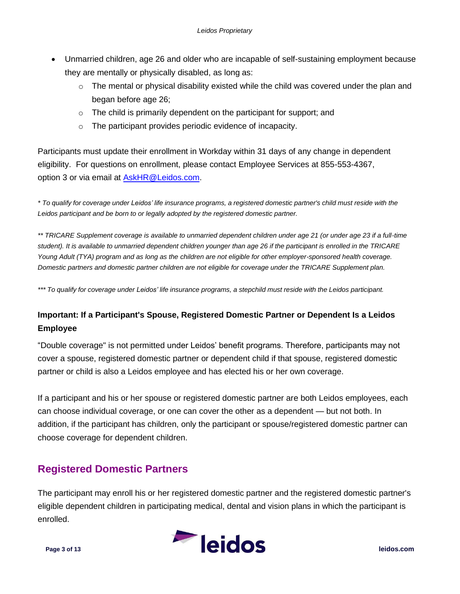- Unmarried children, age 26 and older who are incapable of self-sustaining employment because they are mentally or physically disabled, as long as:
	- $\circ$  The mental or physical disability existed while the child was covered under the plan and began before age 26;
	- $\circ$  The child is primarily dependent on the participant for support; and
	- o The participant provides periodic evidence of incapacity.

Participants must update their enrollment in Workday within 31 days of any change in dependent eligibility. For questions on enrollment, please contact Employee Services at 855-553-4367, option 3 or via email at [AskHR@Leidos.com.](mailto:AskHR@Leidos.com)

*\* To qualify for coverage under Leidos' life insurance programs, a registered domestic partner's child must reside with the Leidos participant and be born to or legally adopted by the registered domestic partner.*

*\*\* TRICARE Supplement coverage is available to unmarried dependent children under age 21 (or under age 23 if a full-time student). It is available to unmarried dependent children younger than age 26 if the participant is enrolled in the TRICARE Young Adult (TYA) program and as long as the children are not eligible for other employer-sponsored health coverage. Domestic partners and domestic partner children are not eligible for coverage under the TRICARE Supplement plan.*

\*\*\* To qualify for coverage under Leidos' life insurance programs, a stepchild must reside with the Leidos participant.

#### **Important: If a Participant's Spouse, Registered Domestic Partner or Dependent Is a Leidos Employee**

"Double coverage" is not permitted under Leidos' benefit programs. Therefore, participants may not cover a spouse, registered domestic partner or dependent child if that spouse, registered domestic partner or child is also a Leidos employee and has elected his or her own coverage.

If a participant and his or her spouse or registered domestic partner are both Leidos employees, each can choose individual coverage, or one can cover the other as a dependent — but not both. In addition, if the participant has children, only the participant or spouse/registered domestic partner can choose coverage for dependent children.

## **Registered Domestic Partners**

The participant may enroll his or her registered domestic partner and the registered domestic partner's eligible dependent children in participating medical, dental and vision plans in which the participant is enrolled.

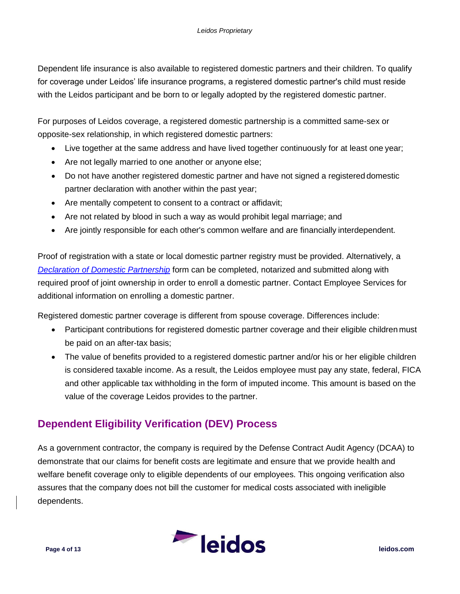Dependent life insurance is also available to registered domestic partners and their children. To qualify for coverage under Leidos' life insurance programs, a registered domestic partner's child must reside with the Leidos participant and be born to or legally adopted by the registered domestic partner.

For purposes of Leidos coverage, a registered domestic partnership is a committed same-sex or opposite-sex relationship, in which registered domestic partners:

- Live together at the same address and have lived together continuously for at least one year;
- Are not legally married to one another or anyone else;
- Do not have another registered domestic partner and have not signed a registered domestic partner declaration with another within the past year;
- Are mentally competent to consent to a contract or affidavit;
- Are not related by blood in such a way as would prohibit legal marriage; and
- Are jointly responsible for each other's common welfare and are financially interdependent.

Proof of registration with a state or local domestic partner registry must be provided. Alternatively, a *[Declaration of Domestic Partnership](https://benefits.leidos.com/sites/g/files/zoouby171/files/2019-01/declaration-of-domestic-partnership.pdf)* form can be completed, notarized and submitted along with required proof of joint ownership in order to enroll a domestic partner. Contact Employee Services for additional information on enrolling a domestic partner.

Registered domestic partner coverage is different from spouse coverage. Differences include:

- Participant contributions for registered domestic partner coverage and their eligible children must be paid on an after-tax basis;
- The value of benefits provided to a registered domestic partner and/or his or her eligible children is considered taxable income. As a result, the Leidos employee must pay any state, federal, FICA and other applicable tax withholding in the form of imputed income. This amount is based on the value of the coverage Leidos provides to the partner.

## **Dependent Eligibility Verification (DEV) Process**

As a government contractor, the company is required by the Defense Contract Audit Agency (DCAA) to demonstrate that our claims for benefit costs are legitimate and ensure that we provide health and welfare benefit coverage only to eligible dependents of our employees. This ongoing verification also assures that the company does not bill the customer for medical costs associated with ineligible dependents.

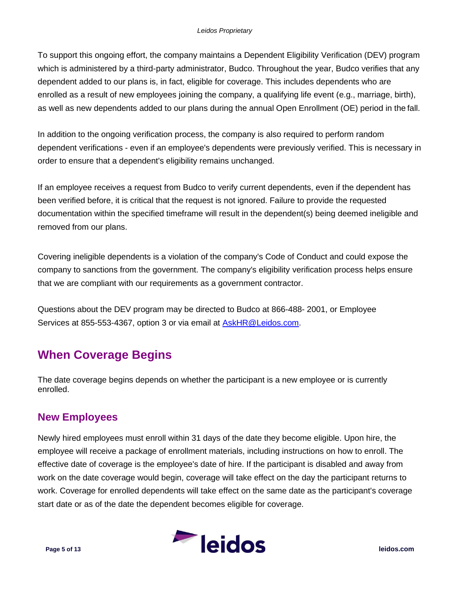To support this ongoing effort, the company maintains a Dependent Eligibility Verification (DEV) program which is administered by a third-party administrator, Budco. Throughout the year, Budco verifies that any dependent added to our plans is, in fact, eligible for coverage. This includes dependents who are enrolled as a result of new employees joining the company, a qualifying life event (e.g., marriage, birth), as well as new dependents added to our plans during the annual Open Enrollment (OE) period in the fall.

In addition to the ongoing verification process, the company is also required to perform random dependent verifications - even if an employee's dependents were previously verified. This is necessary in order to ensure that a dependent's eligibility remains unchanged.

If an employee receives a request from Budco to verify current dependents, even if the dependent has been verified before, it is critical that the request is not ignored. Failure to provide the requested documentation within the specified timeframe will result in the dependent(s) being deemed ineligible and removed from our plans.

Covering ineligible dependents is a violation of the company's Code of Conduct and could expose the company to sanctions from the government. The company's eligibility verification process helps ensure that we are compliant with our requirements as a government contractor.

Questions about the DEV program may be directed to Budco at 866-488- 2001, or Employee Services at 855-553-4367, option 3 or via email at [AskHR@Leidos.com.](mailto:AskHR@Leidos.com)

# **When Coverage Begins**

The date coverage begins depends on whether the participant is a new employee or is currently enrolled.

## **New Employees**

Newly hired employees must enroll within 31 days of the date they become eligible. Upon hire, the employee will receive a package of enrollment materials, including instructions on how to enroll. The effective date of coverage is the employee's date of hire. If the participant is disabled and away from work on the date coverage would begin, coverage will take effect on the day the participant returns to work. Coverage for enrolled dependents will take effect on the same date as the participant's coverage start date or as of the date the dependent becomes eligible for coverage.

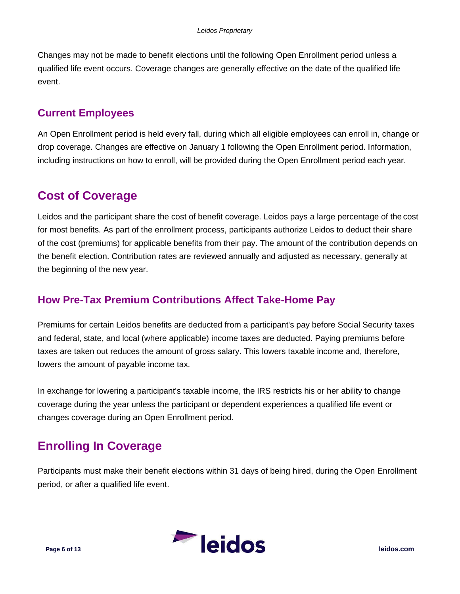Changes may not be made to benefit elections until the following Open Enrollment period unless a qualified life event occurs. Coverage changes are generally effective on the date of the qualified life event.

### **Current Employees**

An Open Enrollment period is held every fall, during which all eligible employees can enroll in, change or drop coverage. Changes are effective on January 1 following the Open Enrollment period. Information, including instructions on how to enroll, will be provided during the Open Enrollment period each year.

## **Cost of Coverage**

Leidos and the participant share the cost of benefit coverage. Leidos pays a large percentage of the cost for most benefits. As part of the enrollment process, participants authorize Leidos to deduct their share of the cost (premiums) for applicable benefits from their pay. The amount of the contribution depends on the benefit election. Contribution rates are reviewed annually and adjusted as necessary, generally at the beginning of the new year.

## **How Pre-Tax Premium Contributions Affect Take-Home Pay**

Premiums for certain Leidos benefits are deducted from a participant's pay before Social Security taxes and federal, state, and local (where applicable) income taxes are deducted. Paying premiums before taxes are taken out reduces the amount of gross salary. This lowers taxable income and, therefore, lowers the amount of payable income tax.

In exchange for lowering a participant's taxable income, the IRS restricts his or her ability to change coverage during the year unless the participant or dependent experiences a qualified life event or changes coverage during an Open Enrollment period.

# **Enrolling In Coverage**

Participants must make their benefit elections within 31 days of being hired, during the Open Enrollment period, or after a qualified life event.

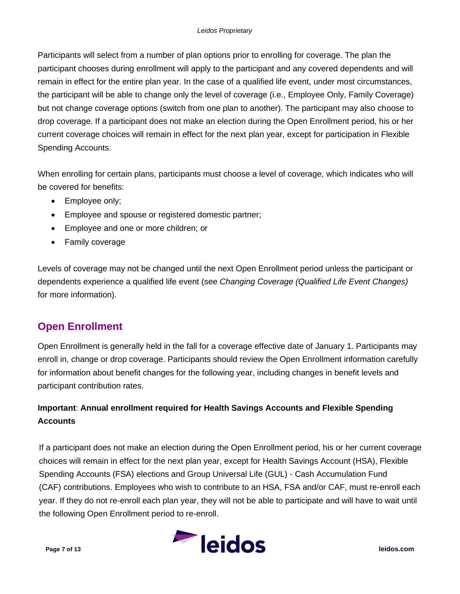Participants will select from a number of plan options prior to enrolling for coverage. The plan the participant chooses during enrollment will apply to the participant and any covered dependents and will remain in effect for the entire plan year. In the case of a qualified life event, under most circumstances, the participant will be able to change only the level of coverage (i.e., Employee Only, Family Coverage) but not change coverage options (switch from one plan to another). The participant may also choose to drop coverage. If a participant does not make an election during the Open Enrollment period, his or her current coverage choices will remain in effect for the next plan year, except for participation in Flexible Spending Accounts.

When enrolling for certain plans, participants must choose a level of coverage, which indicates who will be covered for benefits:

- Employee only;
- Employee and spouse or registered domestic partner;
- Employee and one or more children; or
- Family coverage

Levels of coverage may not be changed until the next Open Enrollment period unless the participant or dependents experience a qualified life event (see *Changing Coverage (Qualified Life Event Changes)* for more information).

## **Open Enrollment**

Open Enrollment is generally held in the fall for a coverage effective date of January 1. Participants may enroll in, change or drop coverage. Participants should review the Open Enrollment information carefully for information about benefit changes for the following year, including changes in benefit levels and participant contribution rates.

### **Important**: **Annual enrollment required for Health Savings Accounts and Flexible Spending Accounts**

If a participant does not make an election during the Open Enrollment period, his or her current coverage choices will remain in effect for the next plan year, except for Health Savings Account (HSA), Flexible Spending Accounts (FSA) elections and Group Universal Life (GUL) - Cash Accumulation Fund (CAF) contributions. Employees who wish to contribute to an HSA, FSA and/or CAF, must re-enroll each year. If they do not re-enroll each plan year, they will not be able to participate and will have to wait until the following Open Enrollment period to re-enroll.

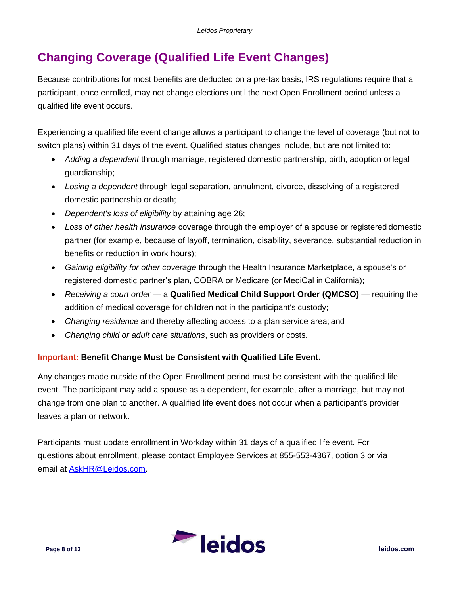# **Changing Coverage (Qualified Life Event Changes)**

Because contributions for most benefits are deducted on a pre-tax basis, IRS regulations require that a participant, once enrolled, may not change elections until the next Open Enrollment period unless a qualified life event occurs.

Experiencing a qualified life event change allows a participant to change the level of coverage (but not to switch plans) within 31 days of the event. Qualified status changes include, but are not limited to:

- *Adding a dependent* through marriage, registered domestic partnership, birth, adoption orlegal guardianship;
- *Losing a dependent* through legal separation, annulment, divorce, dissolving of a registered domestic partnership or death;
- *Dependent's loss of eligibility* by attaining age 26;
- *Loss of other health insurance* coverage through the employer of a spouse or registered domestic partner (for example, because of layoff, termination, disability, severance, substantial reduction in benefits or reduction in work hours);
- *Gaining eligibility for other coverage* through the Health Insurance Marketplace, a spouse's or registered domestic partner's plan, COBRA or Medicare (or MediCal in California);
- *Receiving a court order*  a **Qualified Medical Child Support Order (QMCSO)**  requiring the addition of medical coverage for children not in the participant's custody;
- *Changing residence* and thereby affecting access to a plan service area; and
- *Changing child or adult care situations*, such as providers or costs.

#### **Important: Benefit Change Must be Consistent with Qualified Life Event.**

Any changes made outside of the Open Enrollment period must be consistent with the qualified life event. The participant may add a spouse as a dependent, for example, after a marriage, but may not change from one plan to another. A qualified life event does not occur when a participant's provider leaves a plan or network.

Participants must update enrollment in Workday within 31 days of a qualified life event. For questions about enrollment, please contact Employee Services at 855-553-4367, option 3 or via email at [AskHR@Leidos.com.](mailto:AskHR@Leidos.com)

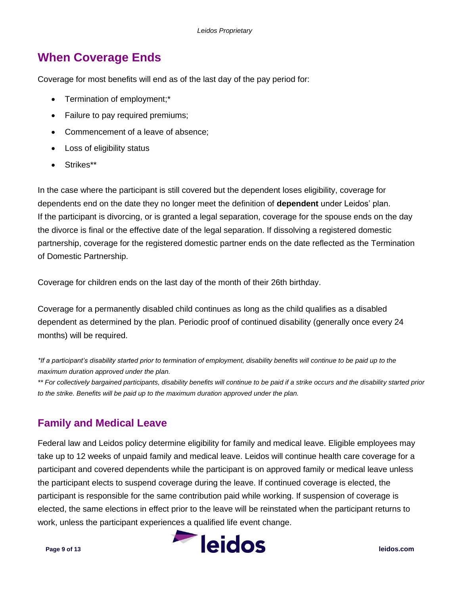## **When Coverage Ends**

Coverage for most benefits will end as of the last day of the pay period for:

- Termination of employment;\*
- Failure to pay required premiums;
- Commencement of a leave of absence;
- Loss of eligibility status
- Strikes\*\*

In the case where the participant is still covered but the dependent loses eligibility, coverage for dependents end on the date they no longer meet the definition of **dependent** under Leidos' plan. If the participant is divorcing, or is granted a legal separation, coverage for the spouse ends on the day the divorce is final or the effective date of the legal separation. If dissolving a registered domestic partnership, coverage for the registered domestic partner ends on the date reflected as the Termination of Domestic Partnership.

Coverage for children ends on the last day of the month of their 26th birthday.

Coverage for a permanently disabled child continues as long as the child qualifies as a disabled dependent as determined by the plan. Periodic proof of continued disability (generally once every 24 months) will be required.

*\*If a participant's disability started prior to termination of employment, disability benefits will continue to be paid up to the maximum duration approved under the plan.*

*\*\* For collectively bargained participants, disability benefits will continue to be paid if a strike occurs and the disability started prior to the strike. Benefits will be paid up to the maximum duration approved under the plan.*

## **Family and Medical Leave**

Federal law and Leidos policy determine eligibility for family and medical leave. Eligible employees may take up to 12 weeks of unpaid family and medical leave. Leidos will continue health care coverage for a participant and covered dependents while the participant is on approved family or medical leave unless the participant elects to suspend coverage during the leave. If continued coverage is elected, the participant is responsible for the same contribution paid while working. If suspension of coverage is elected, the same elections in effect prior to the leave will be reinstated when the participant returns to work, unless the participant experiences a qualified life event change.

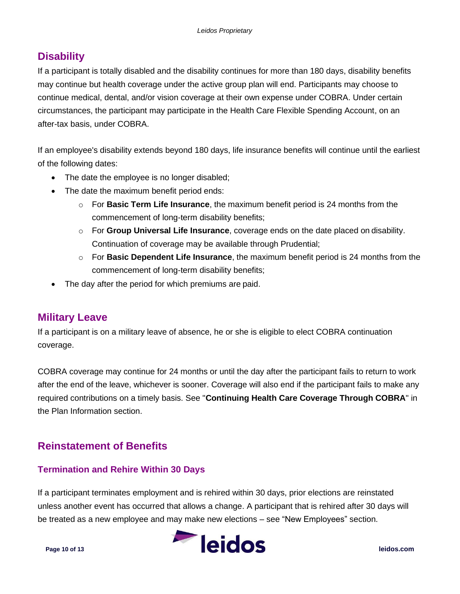## **Disability**

If a participant is totally disabled and the disability continues for more than 180 days, disability benefits may continue but health coverage under the active group plan will end. Participants may choose to continue medical, dental, and/or vision coverage at their own expense under COBRA. Under certain circumstances, the participant may participate in the Health Care Flexible Spending Account, on an after-tax basis, under COBRA.

If an employee's disability extends beyond 180 days, life insurance benefits will continue until the earliest of the following dates:

- The date the employee is no longer disabled;
- The date the maximum benefit period ends:
	- o For **Basic Term Life Insurance**, the maximum benefit period is 24 months from the commencement of long-term disability benefits;
	- o For **Group Universal Life Insurance**, coverage ends on the date placed on disability. Continuation of coverage may be available through Prudential;
	- o For **Basic Dependent Life Insurance**, the maximum benefit period is 24 months from the commencement of long-term disability benefits;
- The day after the period for which premiums are paid.

### **Military Leave**

If a participant is on a military leave of absence, he or she is eligible to elect COBRA continuation coverage.

COBRA coverage may continue for 24 months or until the day after the participant fails to return to work after the end of the leave, whichever is sooner. Coverage will also end if the participant fails to make any required contributions on a timely basis. See "**Continuing Health Care Coverage Through COBRA**" in the Plan Information section.

## **Reinstatement of Benefits**

#### **Termination and Rehire Within 30 Days**

If a participant terminates employment and is rehired within 30 days, prior elections are reinstated unless another event has occurred that allows a change. A participant that is rehired after 30 days will be treated as a new employee and may make new elections – see "New Employees" section.

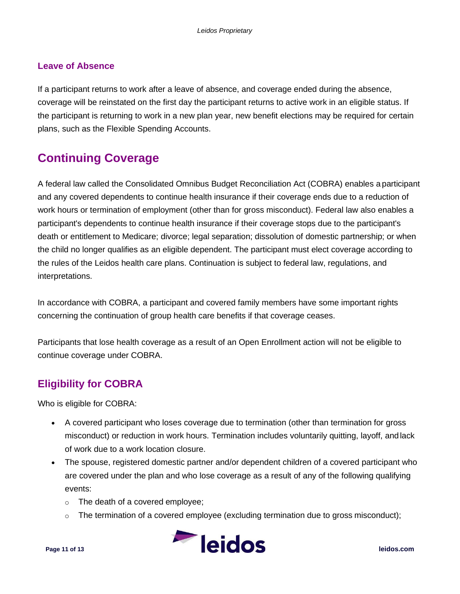#### **Leave of Absence**

If a participant returns to work after a leave of absence, and coverage ended during the absence, coverage will be reinstated on the first day the participant returns to active work in an eligible status. If the participant is returning to work in a new plan year, new benefit elections may be required for certain plans, such as the Flexible Spending Accounts.

# **Continuing Coverage**

A federal law called the Consolidated Omnibus Budget Reconciliation Act (COBRA) enables a participant and any covered dependents to continue health insurance if their coverage ends due to a reduction of work hours or termination of employment (other than for gross misconduct). Federal law also enables a participant's dependents to continue health insurance if their coverage stops due to the participant's death or entitlement to Medicare; divorce; legal separation; dissolution of domestic partnership; or when the child no longer qualifies as an eligible dependent. The participant must elect coverage according to the rules of the Leidos health care plans. Continuation is subject to federal law, regulations, and interpretations.

In accordance with COBRA, a participant and covered family members have some important rights concerning the continuation of group health care benefits if that coverage ceases.

Participants that lose health coverage as a result of an Open Enrollment action will not be eligible to continue coverage under COBRA.

## **Eligibility for COBRA**

Who is eligible for COBRA:

- A covered participant who loses coverage due to termination (other than termination for gross misconduct) or reduction in work hours. Termination includes voluntarily quitting, layoff, andlack of work due to a work location closure.
- The spouse, registered domestic partner and/or dependent children of a covered participant who are covered under the plan and who lose coverage as a result of any of the following qualifying events:
	- o The death of a covered employee;
	- o The termination of a covered employee (excluding termination due to gross misconduct);

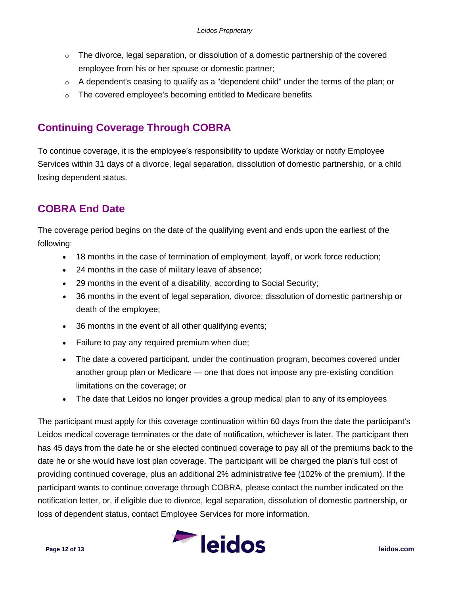- $\circ$  The divorce, legal separation, or dissolution of a domestic partnership of the covered employee from his or her spouse or domestic partner;
- $\circ$  A dependent's ceasing to qualify as a "dependent child" under the terms of the plan; or
- o The covered employee's becoming entitled to Medicare benefits

## **Continuing Coverage Through COBRA**

To continue coverage, it is the employee's responsibility to update Workday or notify Employee Services within 31 days of a divorce, legal separation, dissolution of domestic partnership, or a child losing dependent status.

## **COBRA End Date**

The coverage period begins on the date of the qualifying event and ends upon the earliest of the following:

- 18 months in the case of termination of employment, layoff, or work force reduction;
- 24 months in the case of military leave of absence;
- 29 months in the event of a disability, according to Social Security;
- 36 months in the event of legal separation, divorce; dissolution of domestic partnership or death of the employee;
- 36 months in the event of all other qualifying events;
- Failure to pay any required premium when due;
- The date a covered participant, under the continuation program, becomes covered under another group plan or Medicare — one that does not impose any pre-existing condition limitations on the coverage; or
- The date that Leidos no longer provides a group medical plan to any of its employees

The participant must apply for this coverage continuation within 60 days from the date the participant's Leidos medical coverage terminates or the date of notification, whichever is later. The participant then has 45 days from the date he or she elected continued coverage to pay all of the premiums back to the date he or she would have lost plan coverage. The participant will be charged the plan's full cost of providing continued coverage, plus an additional 2% administrative fee (102% of the premium). If the participant wants to continue coverage through COBRA, please contact the number indicated on the notification letter, or, if eligible due to divorce, legal separation, dissolution of domestic partnership, or loss of dependent status, contact Employee Services for more information.